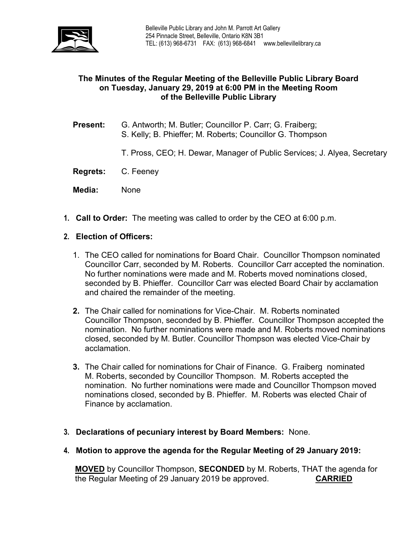

# **The Minutes of the Regular Meeting of the Belleville Public Library Board on Tuesday, January 29, 2019 at 6:00 PM in the Meeting Room of the Belleville Public Library**

- **Present:** G. Antworth; M. Butler; Councillor P. Carr; G. Fraiberg; S. Kelly; B. Phieffer; M. Roberts; Councillor G. Thompson
	- T. Pross, CEO; H. Dewar, Manager of Public Services; J. Alyea, Secretary
- **Regrets:** C. Feeney
- **Media:** None
- **1. Call to Order:** The meeting was called to order by the CEO at 6:00 p.m.

#### **2. Election of Officers:**

- 1. The CEO called for nominations for Board Chair. Councillor Thompson nominated Councillor Carr, seconded by M. Roberts. Councillor Carr accepted the nomination. No further nominations were made and M. Roberts moved nominations closed, seconded by B. Phieffer. Councillor Carr was elected Board Chair by acclamation and chaired the remainder of the meeting.
- **2.** The Chair called for nominations for Vice-Chair. M. Roberts nominated Councillor Thompson, seconded by B. Phieffer. Councillor Thompson accepted the nomination. No further nominations were made and M. Roberts moved nominations closed, seconded by M. Butler. Councillor Thompson was elected Vice-Chair by acclamation.
- **3.** The Chair called for nominations for Chair of Finance. G. Fraiberg nominated M. Roberts, seconded by Councillor Thompson. M. Roberts accepted the nomination. No further nominations were made and Councillor Thompson moved nominations closed, seconded by B. Phieffer. M. Roberts was elected Chair of Finance by acclamation.
- **3. Declarations of pecuniary interest by Board Members:** None.
- **4. Motion to approve the agenda for the Regular Meeting of 29 January 2019:**

**MOVED** by Councillor Thompson, **SECONDED** by M. Roberts, THAT the agenda for the Regular Meeting of 29 January 2019 be approved. **CARRIED**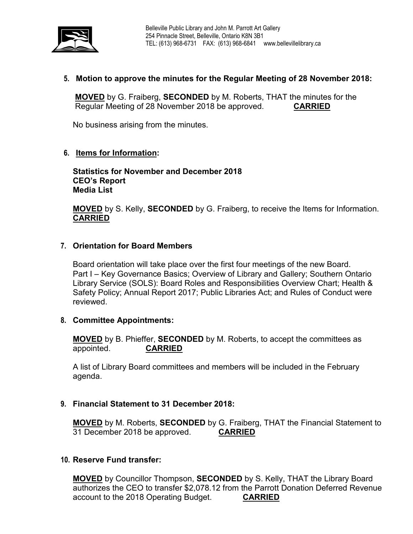

## **5. Motion to approve the minutes for the Regular Meeting of 28 November 2018:**

**MOVED** by G. Fraiberg, **SECONDED** by M. Roberts, THAT the minutes for the Regular Meeting of 28 November 2018 be approved. **CARRIED**

No business arising from the minutes.

### **6. Items for Information:**

**Statistics for November and December 2018 CEO's Report Media List**

**MOVED** by S. Kelly, **SECONDED** by G. Fraiberg, to receive the Items for Information. **CARRIED**

### **7. Orientation for Board Members**

Board orientation will take place over the first four meetings of the new Board. Part I – Key Governance Basics; Overview of Library and Gallery; Southern Ontario Library Service (SOLS): Board Roles and Responsibilities Overview Chart; Health & Safety Policy; Annual Report 2017; Public Libraries Act; and Rules of Conduct were reviewed.

### **8. Committee Appointments:**

**MOVED** by B. Phieffer, **SECONDED** by M. Roberts, to accept the committees as appointed. **CARRIED**

A list of Library Board committees and members will be included in the February agenda.

### **9. Financial Statement to 31 December 2018:**

**MOVED** by M. Roberts, **SECONDED** by G. Fraiberg, THAT the Financial Statement to 31 December 2018 be approved. **CARRIED**

### **10. Reserve Fund transfer:**

**MOVED** by Councillor Thompson, **SECONDED** by S. Kelly, THAT the Library Board authorizes the CEO to transfer \$2,078.12 from the Parrott Donation Deferred Revenue account to the 2018 Operating Budget. **CARRIED**